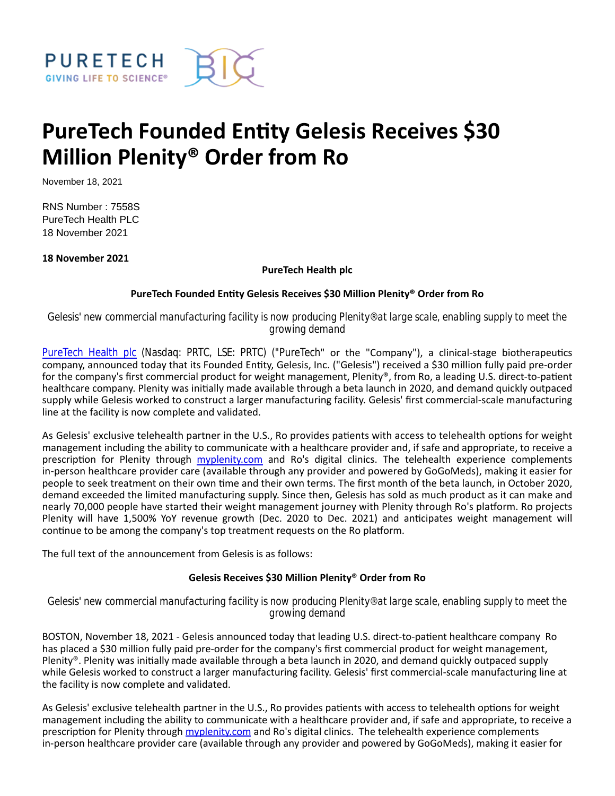

# **PureTech Founded EnƟty Gelesis Receives \$30 Million Plenity® Order from Ro**

November 18, 2021

RNS Number : 7558S PureTech Health PLC 18 November 2021

**18 November 2021**

# **PureTech Health plc**

# **PureTech Founded EnƟty Gelesis Receives \$30 Million Plenity® Order from Ro**

*Gelesis' new commercial manufacturing facility is now producing Plenity® at large scale, enabling supply to meet the growing demand*

[PureTech Health plc](https://puretechhealth.com/) (Nasdaq: PRTC, LSE: PRTC) ("PureTech" or the "Company"), a clinical-stage biotherapeutics company, announced today that its Founded Entity, Gelesis, Inc. ("Gelesis") received a \$30 million fully paid pre-order for the company's first commercial product for weight management, Plenity®, from Ro, a leading U.S. direct-to-patient healthcare company. Plenity was initially made available through a beta launch in 2020, and demand quickly outpaced supply while Gelesis worked to construct a larger manufacturing facility. Gelesis' first commercial-scale manufacturing line at the facility is now complete and validated.

As Gelesis' exclusive telehealth partner in the U.S., Ro provides patients with access to telehealth options for weight management including the ability to communicate with a healthcare provider and, if safe and appropriate, to receive a prescription for Plenity through [myplenity.com](http://myplenity.com/) and Ro's digital clinics. The telehealth experience complements in-person healthcare provider care (available through any provider and powered by GoGoMeds), making it easier for people to seek treatment on their own time and their own terms. The first month of the beta launch, in October 2020, demand exceeded the limited manufacturing supply. Since then, Gelesis has sold as much product as it can make and nearly 70,000 people have started their weight management journey with Plenity through Ro's platform. Ro projects Plenity will have 1,500% YoY revenue growth (Dec. 2020 to Dec. 2021) and anticipates weight management will continue to be among the company's top treatment requests on the Ro platform.

The full text of the announcement from Gelesis is as follows:

#### **Gelesis Receives \$30 Million Plenity® Order from Ro**

*Gelesis' new commercial manufacturing facility is now producing Plenity® at large scale, enabling supply to meet the growing demand*

BOSTON, November 18, 2021 - Gelesis announced today that leading U.S. direct-to-patient healthcare company Ro has placed a \$30 million fully paid pre-order for the company's first commercial product for weight management, Plenity®. Plenity was initially made available through a beta launch in 2020, and demand quickly outpaced supply while Gelesis worked to construct a larger manufacturing facility. Gelesis' first commercial-scale manufacturing line at the facility is now complete and validated.

As Gelesis' exclusive telehealth partner in the U.S., Ro provides patients with access to telehealth options for weight management including the ability to communicate with a healthcare provider and, if safe and appropriate, to receive a prescription for Plenity through [myplenity.com a](http://myplenity.com/)nd Ro's digital clinics. The telehealth experience complements in-person healthcare provider care (available through any provider and powered by GoGoMeds), making it easier for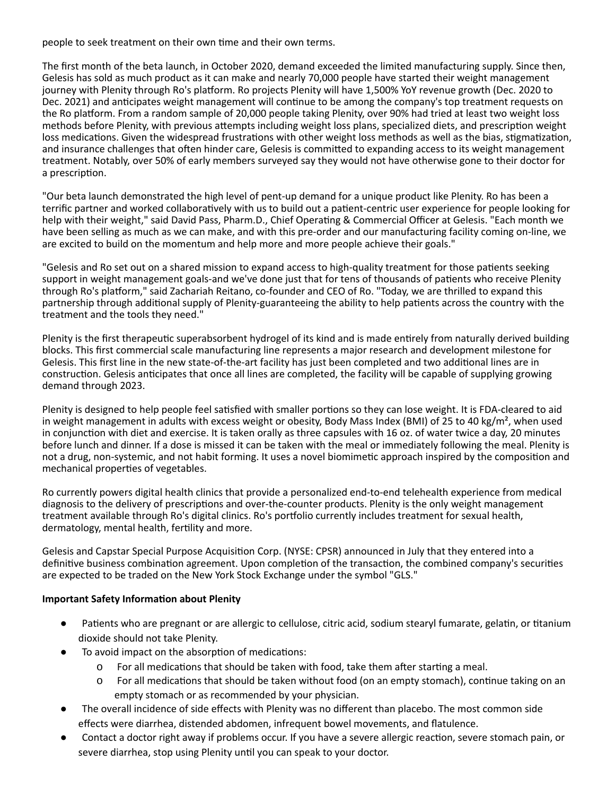people to seek treatment on their own time and their own terms.

The first month of the beta launch, in October 2020, demand exceeded the limited manufacturing supply. Since then, Gelesis has sold as much product as it can make and nearly 70,000 people have started their weight management journey with Plenity through Ro's platform. Ro projects Plenity will have 1,500% YoY revenue growth (Dec. 2020 to Dec. 2021) and anticipates weight management will continue to be among the company's top treatment requests on the Ro platform. From a random sample of 20,000 people taking Plenity, over 90% had tried at least two weight loss methods before Plenity, with previous attempts including weight loss plans, specialized diets, and prescription weight loss medications. Given the widespread frustrations with other weight loss methods as well as the bias, stigmatization, and insurance challenges that often hinder care, Gelesis is committed to expanding access to its weight management treatment. Notably, over 50% of early members surveyed say they would not have otherwise gone to their doctor for a prescription.

"Our beta launch demonstrated the high level of pent-up demand for a unique product like Plenity. Ro has been a terrific partner and worked collaboratively with us to build out a patient-centric user experience for people looking for help with their weight," said David Pass, Pharm.D., Chief Operating & Commercial Officer at Gelesis. "Each month we have been selling as much as we can make, and with this pre-order and our manufacturing facility coming on-line, we are excited to build on the momentum and help more and more people achieve their goals."

"Gelesis and Ro set out on a shared mission to expand access to high-quality treatment for those patients seeking support in weight management goals-and we've done just that for tens of thousands of patients who receive Plenity through Ro's platform," said Zachariah Reitano, co-founder and CEO of Ro. "Today, we are thrilled to expand this partnership through additional supply of Plenity-guaranteeing the ability to help patients across the country with the treatment and the tools they need."

Plenity is the first therapeutic superabsorbent hydrogel of its kind and is made entirely from naturally derived building blocks. This first commercial scale manufacturing line represents a major research and development milestone for Gelesis. This first line in the new state-of-the-art facility has just been completed and two additional lines are in construction. Gelesis anticipates that once all lines are completed, the facility will be capable of supplying growing demand through 2023.

Plenity is designed to help people feel satisfied with smaller portions so they can lose weight. It is FDA-cleared to aid in weight management in adults with excess weight or obesity, Body Mass Index (BMI) of 25 to 40 kg/m<sup>2</sup>, when used in conjunction with diet and exercise. It is taken orally as three capsules with 16 oz. of water twice a day, 20 minutes before lunch and dinner. If a dose is missed it can be taken with the meal or immediately following the meal. Plenity is not a drug, non-systemic, and not habit forming. It uses a novel biomimetic approach inspired by the composition and mechanical properties of vegetables.

Ro currently powers digital health clinics that provide a personalized end-to-end telehealth experience from medical diagnosis to the delivery of prescriptions and over-the-counter products. Plenity is the only weight management treatment available through Ro's digital clinics. Ro's portfolio currently includes treatment for sexual health, dermatology, mental health, fertility and more.

Gelesis and Capstar Special Purpose Acquisition Corp. (NYSE: CPSR) announced in July that they entered into a definitive business combination agreement. Upon completion of the transaction, the combined company's securities are expected to be traded on the New York Stock Exchange under the symbol "GLS."

# **Important Safety InformaƟon about Plenity**

- Patients who are pregnant or are allergic to cellulose, citric acid, sodium stearyl fumarate, gelatin, or titanium dioxide should not take Plenity.
- To avoid impact on the absorption of medications:
	- $\circ$  For all medications that should be taken with food, take them after starting a meal.
	- $\circ$  For all medications that should be taken without food (on an empty stomach), continue taking on an empty stomach or as recommended by your physician.
- The overall incidence of side effects with Plenity was no different than placebo. The most common side effects were diarrhea, distended abdomen, infrequent bowel movements, and flatulence.
- Contact a doctor right away if problems occur. If you have a severe allergic reaction, severe stomach pain, or severe diarrhea, stop using Plenity until you can speak to your doctor.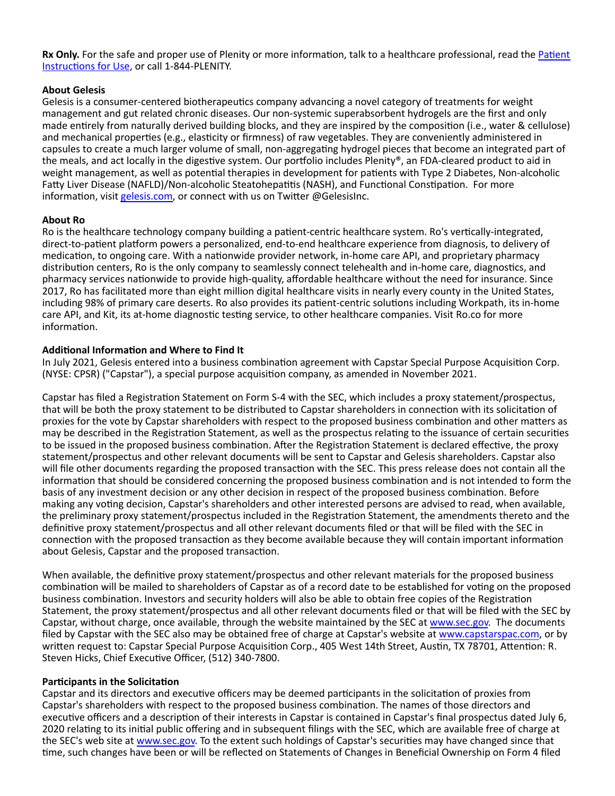**Rx Only.** For the safe and proper use of Plenity or more information, talk to a healthcare professional, read the Patient Instructions for Use, or call 1-844-PLENITY.

## **About Gelesis**

Gelesis is a consumer-centered biotherapeutics company advancing a novel category of treatments for weight management and gut related chronic diseases. Our non-systemic superabsorbent hydrogels are the first and only made entirely from naturally derived building blocks, and they are inspired by the composition (i.e., water & cellulose) and mechanical properties (e.g., elasticity or firmness) of raw vegetables. They are conveniently administered in capsules to create a much larger volume of small, non-aggregating hydrogel pieces that become an integrated part of the meals, and act locally in the digestive system. Our portfolio includes Plenity®, an FDA-cleared product to aid in weight management, as well as potential therapies in development for patients with Type 2 Diabetes, Non-alcoholic Fatty Liver Disease (NAFLD)/Non-alcoholic Steatohepatitis (NASH), and Functional Constipation. For more information, visit [gelesis.com,](https://www.gelesis.com/) or connect with us on Twitter @GelesisInc.

### **About Ro**

Ro is the healthcare technology company building a patient-centric healthcare system. Ro's vertically-integrated, direct-to-patient platform powers a personalized, end-to-end healthcare experience from diagnosis, to delivery of medication, to ongoing care. With a nationwide provider network, in-home care API, and proprietary pharmacy distribution centers, Ro is the only company to seamlessly connect telehealth and in-home care, diagnostics, and pharmacy services nationwide to provide high-quality, affordable healthcare without the need for insurance. Since 2017, Ro has facilitated more than eight million digital healthcare visits in nearly every county in the United States, including 98% of primary care deserts. Ro also provides its patient-centric solutions including Workpath, its in-home care API, and Kit, its at-home diagnostic testing service, to other healthcare companies. Visit Ro.co for more information.

### **AddiƟonal InformaƟon and Where to Find It**

In July 2021, Gelesis entered into a business combination agreement with Capstar Special Purpose Acquisition Corp. (NYSE: CPSR) ("Capstar"), a special purpose acquisition company, as amended in November 2021.

Capstar has filed a Registration Statement on Form S-4 with the SEC, which includes a proxy statement/prospectus, that will be both the proxy statement to be distributed to Capstar shareholders in connection with its solicitation of proxies for the vote by Capstar shareholders with respect to the proposed business combination and other matters as may be described in the Registration Statement, as well as the prospectus relating to the issuance of certain securities to be issued in the proposed business combination. After the Registration Statement is declared effective, the proxy statement/prospectus and other relevant documents will be sent to Capstar and Gelesis shareholders. Capstar also will file other documents regarding the proposed transaction with the SEC. This press release does not contain all the information that should be considered concerning the proposed business combination and is not intended to form the basis of any investment decision or any other decision in respect of the proposed business combination. Before making any voting decision, Capstar's shareholders and other interested persons are advised to read, when available, the preliminary proxy statement/prospectus included in the Registration Statement, the amendments thereto and the definitive proxy statement/prospectus and all other relevant documents filed or that will be filed with the SEC in connection with the proposed transaction as they become available because they will contain important information about Gelesis, Capstar and the proposed transaction.

When available, the definitive proxy statement/prospectus and other relevant materials for the proposed business combination will be mailed to shareholders of Capstar as of a record date to be established for voting on the proposed business combination. Investors and security holders will also be able to obtain free copies of the Registration Statement, the proxy statement/prospectus and all other relevant documents filed or that will be filed with the SEC by Capstar, without charge, once available, through the website maintained by the SEC at [www.sec.gov.](http://www.sec.gov/) The documents filed by Capstar with the SEC also may be obtained free of charge at Capstar's website at [www.capstarspac.com,](http://www.capstarspac.com/) or by written request to: Capstar Special Purpose Acquisition Corp., 405 West 14th Street, Austin, TX 78701, Attention: R. Steven Hicks, Chief Executive Officer, (512) 340-7800.

# **Participants in the Solicitation**

Capstar and its directors and executive officers may be deemed participants in the solicitation of proxies from Capstar's shareholders with respect to the proposed business combination. The names of those directors and executive officers and a description of their interests in Capstar is contained in Capstar's final prospectus dated July 6, 2020 relating to its initial public offering and in subsequent filings with the SEC, which are available free of charge at the SEC's web site at [www.sec.gov.](http://www.sec.gov/) To the extent such holdings of Capstar's securities may have changed since that time, such changes have been or will be reflected on Statements of Changes in Beneficial Ownership on Form 4 filed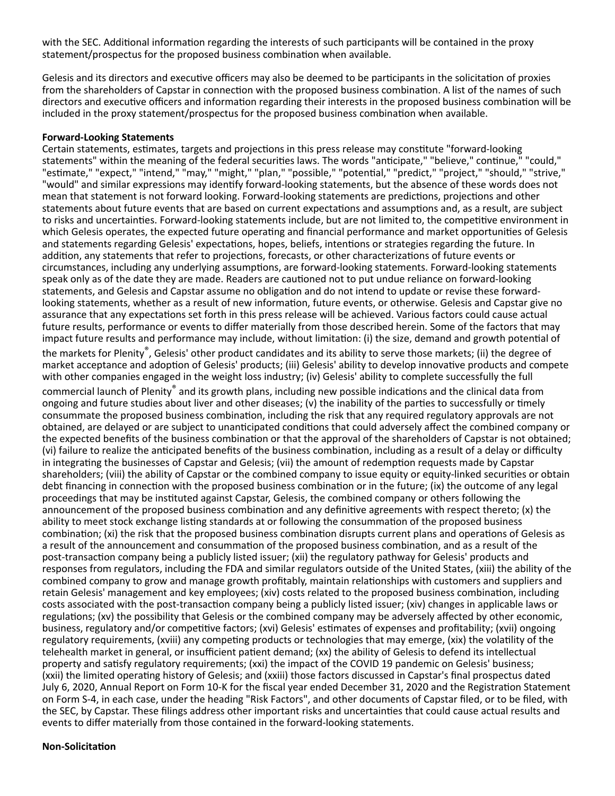with the SEC. Additional information regarding the interests of such participants will be contained in the proxy statement/prospectus for the proposed business combination when available.

Gelesis and its directors and executive officers may also be deemed to be participants in the solicitation of proxies from the shareholders of Capstar in connection with the proposed business combination. A list of the names of such directors and executive officers and information regarding their interests in the proposed business combination will be included in the proxy statement/prospectus for the proposed business combination when available.

### **Forward-Looking Statements**

Certain statements, estimates, targets and projections in this press release may constitute "forward-looking statements" within the meaning of the federal securities laws. The words "anticipate," "believe," continue," "could," "estimate," "expect," "intend," "may," "might," "plan," "possible," "potential," "predict," "project," "should," "strive," "would" and similar expressions may identify forward-looking statements, but the absence of these words does not mean that statement is not forward looking. Forward-looking statements are predictions, projections and other statements about future events that are based on current expectations and assumptions and, as a result, are subject to risks and uncertainties. Forward-looking statements include, but are not limited to, the competitive environment in which Gelesis operates, the expected future operating and financial performance and market opportunities of Gelesis and statements regarding Gelesis' expectations, hopes, beliefs, intentions or strategies regarding the future. In addition, any statements that refer to projections, forecasts, or other characterizations of future events or circumstances, including any underlying assumptions, are forward-looking statements. Forward-looking statements speak only as of the date they are made. Readers are cautioned not to put undue reliance on forward-looking statements, and Gelesis and Capstar assume no obligation and do not intend to update or revise these forwardlooking statements, whether as a result of new information, future events, or otherwise. Gelesis and Capstar give no assurance that any expectations set forth in this press release will be achieved. Various factors could cause actual future results, performance or events to differ materially from those described herein. Some of the factors that may impact future results and performance may include, without limitation: (i) the size, demand and growth potential of the markets for Plenity<sup>®</sup>, Gelesis' other product candidates and its ability to serve those markets; (ii) the degree of market acceptance and adoption of Gelesis' products; (iii) Gelesis' ability to develop innovative products and compete with other companies engaged in the weight loss industry; (iv) Gelesis' ability to complete successfully the full commercial launch of Plenity® and its growth plans, including new possible indications and the clinical data from ongoing and future studies about liver and other diseases; (v) the inability of the parties to successfully or timely consummate the proposed business combination, including the risk that any required regulatory approvals are not obtained, are delayed or are subject to unanticipated conditions that could adversely affect the combined company or the expected benefits of the business combination or that the approval of the shareholders of Capstar is not obtained; (vi) failure to realize the anticipated benefits of the business combination, including as a result of a delay or difficulty in integrating the businesses of Capstar and Gelesis; (vii) the amount of redemption requests made by Capstar shareholders; (viii) the ability of Capstar or the combined company to issue equity or equity-linked securities or obtain debt financing in connection with the proposed business combination or in the future; (ix) the outcome of any legal proceedings that may be instituted against Capstar, Gelesis, the combined company or others following the announcement of the proposed business combination and any definitive agreements with respect thereto; (x) the ability to meet stock exchange listing standards at or following the consummation of the proposed business combination; (xi) the risk that the proposed business combination disrupts current plans and operations of Gelesis as a result of the announcement and consummation of the proposed business combination, and as a result of the post-transaction company being a publicly listed issuer; (xii) the regulatory pathway for Gelesis' products and responses from regulators, including the FDA and similar regulators outside of the United States, (xiii) the ability of the combined company to grow and manage growth profitably, maintain relationships with customers and suppliers and retain Gelesis' management and key employees; (xiv) costs related to the proposed business combination, including costs associated with the post-transaction company being a publicly listed issuer; (xiv) changes in applicable laws or regulations; (xv) the possibility that Gelesis or the combined company may be adversely affected by other economic, business, regulatory and/or competitive factors; (xvi) Gelesis' estimates of expenses and profitability; (xvii) ongoing regulatory requirements, (xviii) any competing products or technologies that may emerge, (xix) the volatility of the telehealth market in general, or insufficient patient demand; (xx) the ability of Gelesis to defend its intellectual property and satisfy regulatory requirements; (xxi) the impact of the COVID 19 pandemic on Gelesis' business; (xxii) the limited operating history of Gelesis; and (xxiii) those factors discussed in Capstar's final prospectus dated July 6, 2020, Annual Report on Form 10-K for the fiscal year ended December 31, 2020 and the Registration Statement on Form S-4, in each case, under the heading "Risk Factors", and other documents of Capstar filed, or to be filed, with the SEC, by Capstar. These filings address other important risks and uncertainties that could cause actual results and events to differ materially from those contained in the forward-looking statements.

# **Non-SolicitaƟon**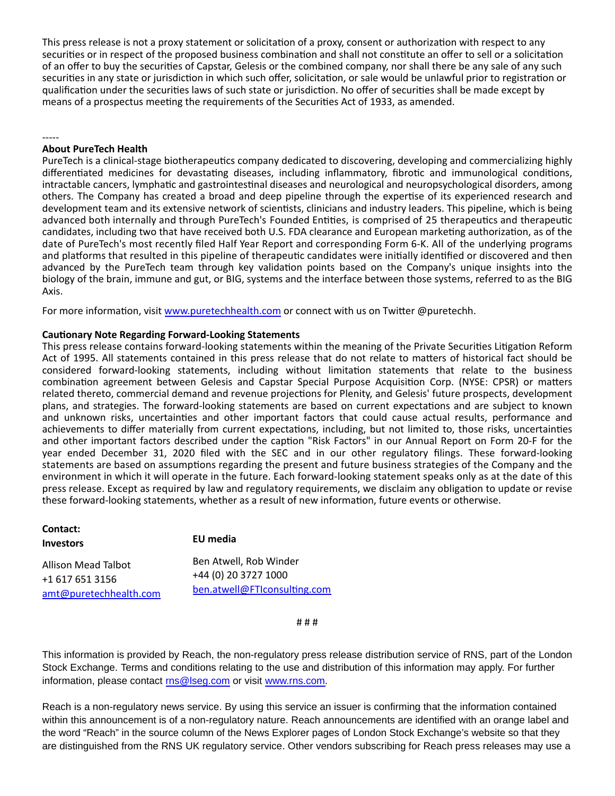This press release is not a proxy statement or solicitation of a proxy, consent or authorization with respect to any securities or in respect of the proposed business combination and shall not constitute an offer to sell or a solicitation of an offer to buy the securities of Capstar, Gelesis or the combined company, nor shall there be any sale of any such securities in any state or jurisdiction in which such offer, solicitation, or sale would be unlawful prior to registration or qualification under the securities laws of such state or jurisdiction. No offer of securities shall be made except by means of a prospectus meeting the requirements of the Securities Act of 1933, as amended.

#### ----- **About PureTech Health**

PureTech is a clinical-stage biotherapeutics company dedicated to discovering, developing and commercializing highly differentiated medicines for devastating diseases, including inflammatory, fibrotic and immunological conditions, intractable cancers, lymphatic and gastrointestinal diseases and neurological and neuropsychological disorders, among others. The Company has created a broad and deep pipeline through the expertise of its experienced research and development team and its extensive network of scientists, clinicians and industry leaders. This pipeline, which is being advanced both internally and through PureTech's Founded Entities, is comprised of 25 therapeutics and therapeutic candidates, including two that have received both U.S. FDA clearance and European marketing authorization, as of the date of PureTech's most recently filed Half Year Report and corresponding Form 6-K. All of the underlying programs and platforms that resulted in this pipeline of therapeutic candidates were initially identified or discovered and then advanced by the PureTech team through key validation points based on the Company's unique insights into the biology of the brain, immune and gut, or BIG, systems and the interface between those systems, referred to as the BIG Axis.

For more information, visit [www.puretechhealth.com](http://www.puretechhealth.com/) or connect with us on Twitter @puretechh.

### **CauƟonary Note Regarding Forward-Looking Statements**

This press release contains forward-looking statements within the meaning of the Private Securities Litigation Reform Act of 1995. All statements contained in this press release that do not relate to matters of historical fact should be considered forward-looking statements, including without limitation statements that relate to the business combination agreement between Gelesis and Capstar Special Purpose Acquisition Corp. (NYSE: CPSR) or matters related thereto, commercial demand and revenue projections for Plenity, and Gelesis' future prospects, development plans, and strategies. The forward-looking statements are based on current expectations and are subject to known and unknown risks, uncertainties and other important factors that could cause actual results, performance and achievements to differ materially from current expectations, including, but not limited to, those risks, uncertainties and other important factors described under the caption "Risk Factors" in our Annual Report on Form 20-F for the year ended December 31, 2020 filed with the SEC and in our other regulatory filings. These forward-looking statements are based on assumptions regarding the present and future business strategies of the Company and the environment in which it will operate in the future. Each forward-looking statement speaks only as at the date of this press release. Except as required by law and regulatory requirements, we disclaim any obligation to update or revise these forward-looking statements, whether as a result of new information, future events or otherwise.

| Contact:<br><b>Investors</b> | EU media                     |
|------------------------------|------------------------------|
| <b>Allison Mead Talbot</b>   | Ben Atwell, Rob Winder       |
| +1 617 651 3156              | +44 (0) 20 3727 1000         |
| amt@puretechhealth.com       | ben.atwell@FTIconsulting.com |

# # #

This information is provided by Reach, the non-regulatory press release distribution service of RNS, part of the London Stock Exchange. Terms and conditions relating to the use and distribution of this information may apply. For further information, please contact [rns@lseg.com o](mailto:rns@lseg.com)r visit [www.rns.com.](http://www.rns.com/)

Reach is a non-regulatory news service. By using this service an issuer is confirming that the information contained within this announcement is of a non-regulatory nature. Reach announcements are identified with an orange label and the word "Reach" in the source column of the News Explorer pages of London Stock Exchange's website so that they are distinguished from the RNS UK regulatory service. Other vendors subscribing for Reach press releases may use a